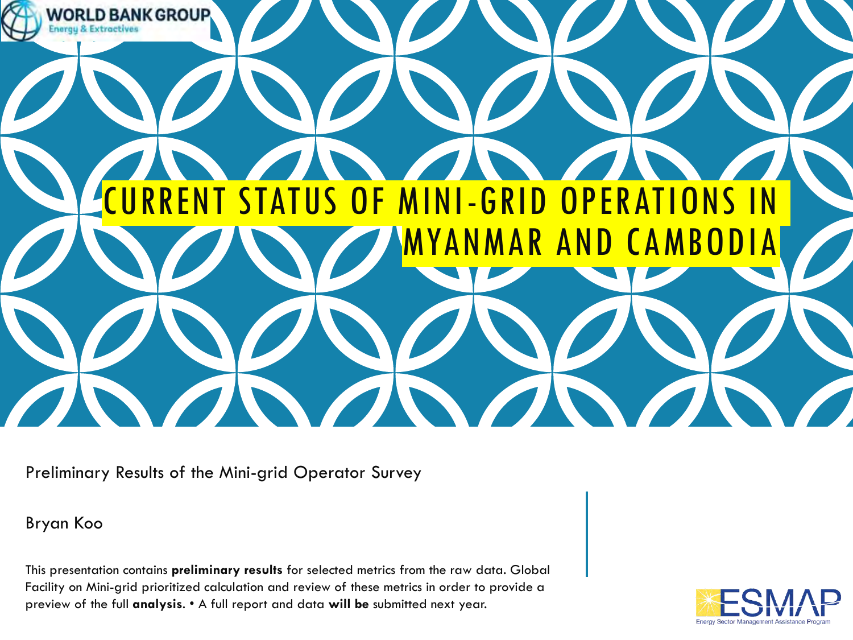

Preliminary Results of the Mini-grid Operator Survey

#### Bryan Koo

This presentation contains **preliminary results** for selected metrics from the raw data. Global Facility on Mini-grid prioritized calculation and review of these metrics in order to provide a preview of the full **analysis**. • A full report and data **will be** submitted next year.

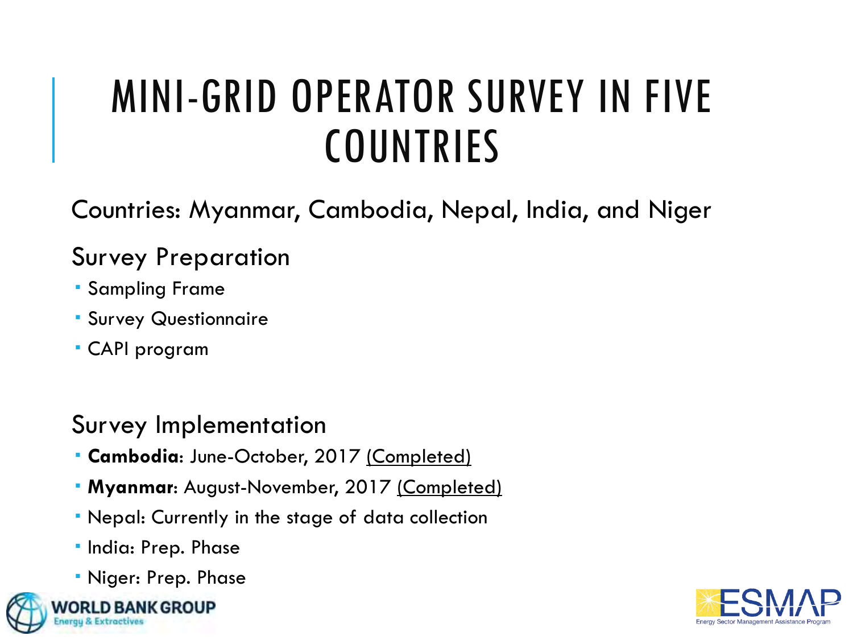# MINI-GRID OPERATOR SURVEY IN FIVE **COUNTRIES**

Countries: Myanmar, Cambodia, Nepal, India, and Niger

#### Survey Preparation

- Sampling Frame
- Survey Questionnaire
- CAPI program

#### Survey Implementation

- **Cambodia**: June-October, 2017 (Completed)
- **Myanmar**: August-November, 2017 (Completed)
- Nepal: Currently in the stage of data collection
- · India: Prep. Phase
- Niger: Prep. Phase



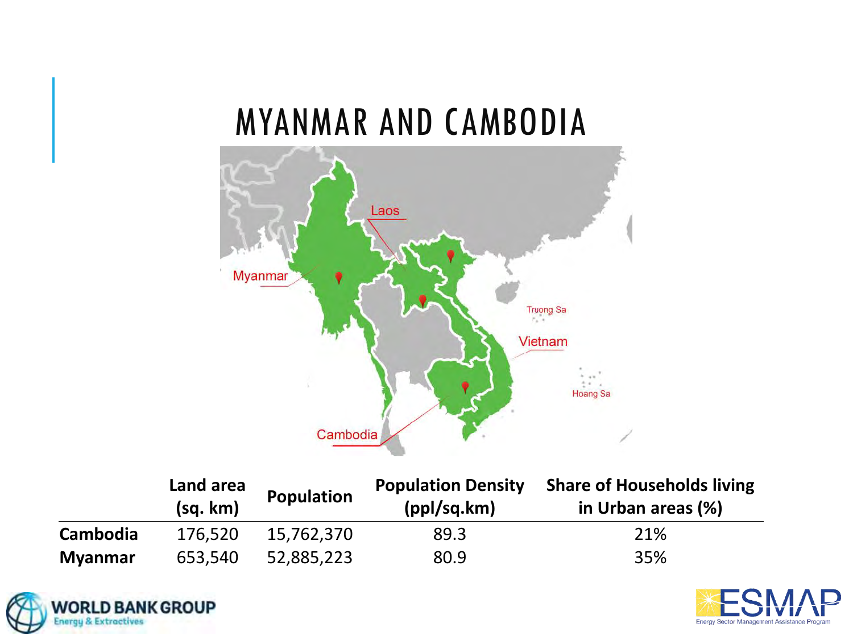## MYANMAR AND CAMBODIA



|                | Land area<br>(sq. km) | Population | <b>Population Density</b><br>(ppl/sq.km) | <b>Share of Households living</b><br>in Urban areas (%) |
|----------------|-----------------------|------------|------------------------------------------|---------------------------------------------------------|
| Cambodia       | 176,520               | 15,762,370 | 89.3                                     | 21%                                                     |
| <b>Myanmar</b> | 653,540               | 52,885,223 | 80.9                                     | 35%                                                     |



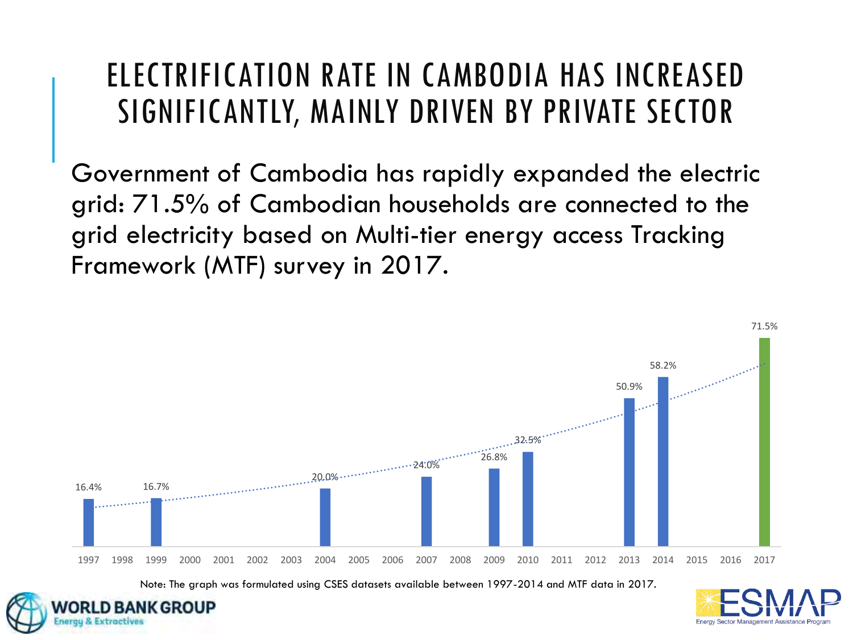## ELECTRIFICATION RATE IN CAMBODIA HAS INCREASED SIGNIFICANTLY, MAINLY DRIVEN BY PRIVATE SECTOR

Government of Cambodia has rapidly expanded the electric grid: 71.5% of Cambodian households are connected to the grid electricity based on Multi-tier energy access Tracking Framework (MTF) survey in 2017.



Note: The graph was formulated using CSES datasets available between 1997-2014 and MTF data in 2017.

GROUP

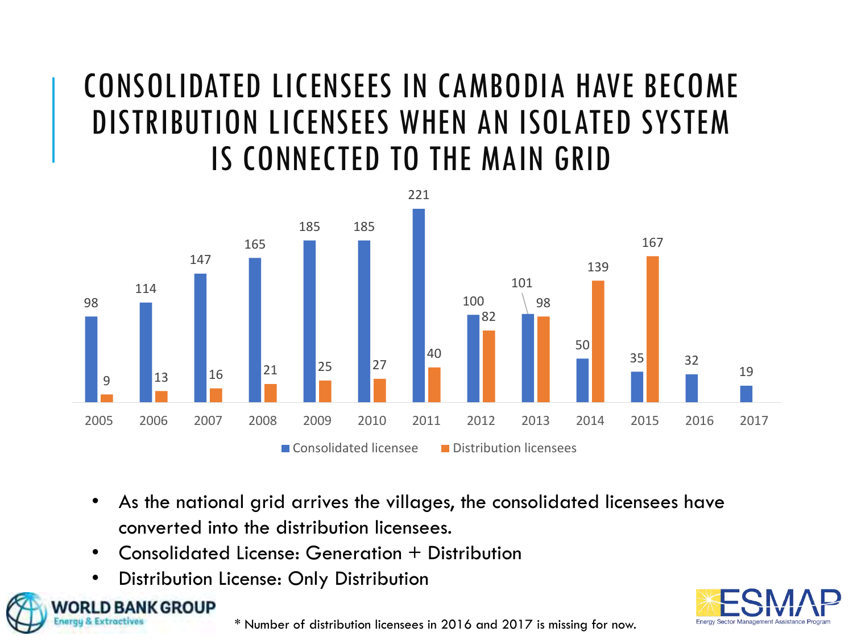## CONSOLIDATED LICENSEES IN CAMBODIA HAVE BECOME DISTRIBUTION LICENSEES WHEN AN ISOLATED SYSTEM IS CONNECTED TO THE MAIN GRID



- As the national grid arrives the villages, the consolidated licensees have converted into the distribution licensees.
- Consolidated License: Generation + Distribution
- Distribution License: Only Distribution

**BANK GROUP** 



\* Number of distribution licensees in 2016 and 2017 is missing for now.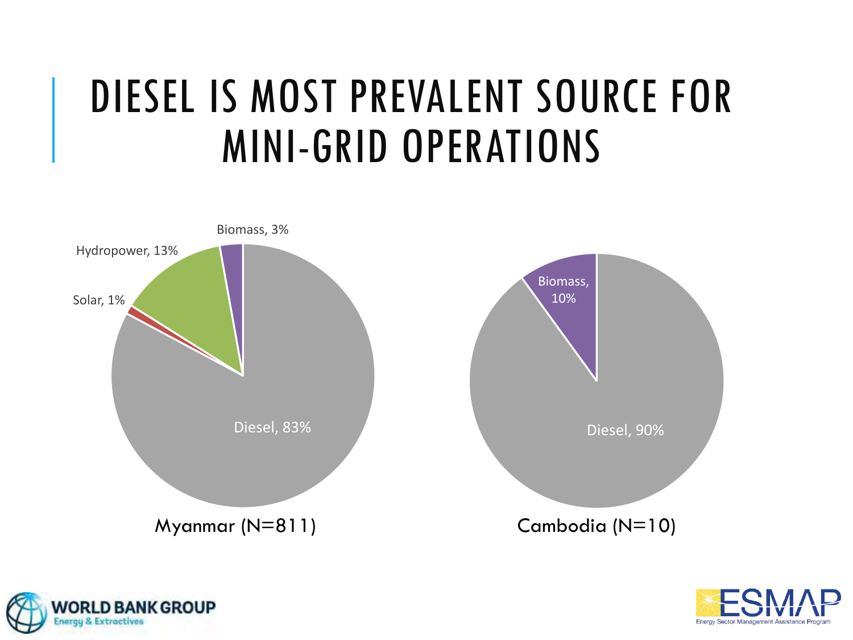# DIESEL IS MOST PREVALENT SOURCE FOR MINI-GRID OPERATIONS





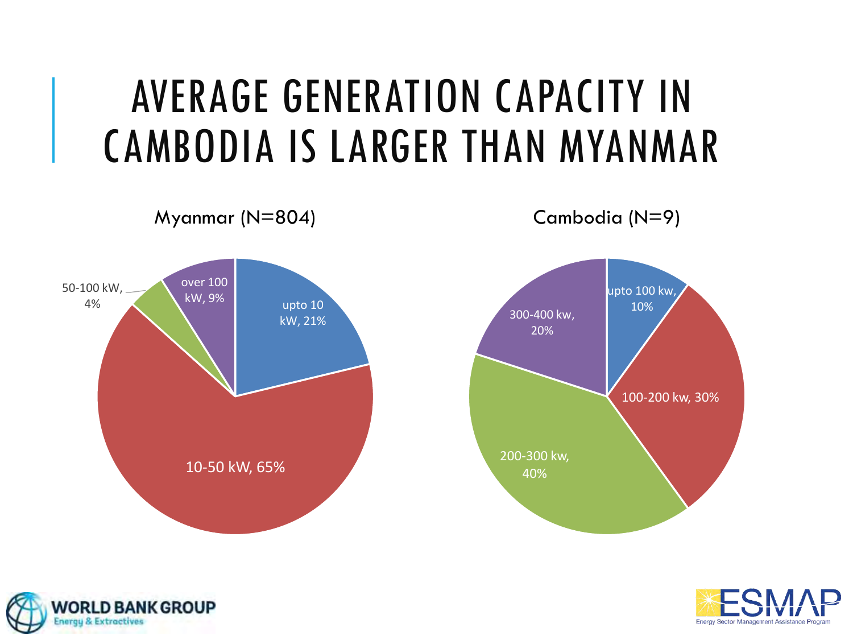# AVERAGE GENERATION CAPACITY IN CAMBODIA IS LARGER THAN MYANMAR





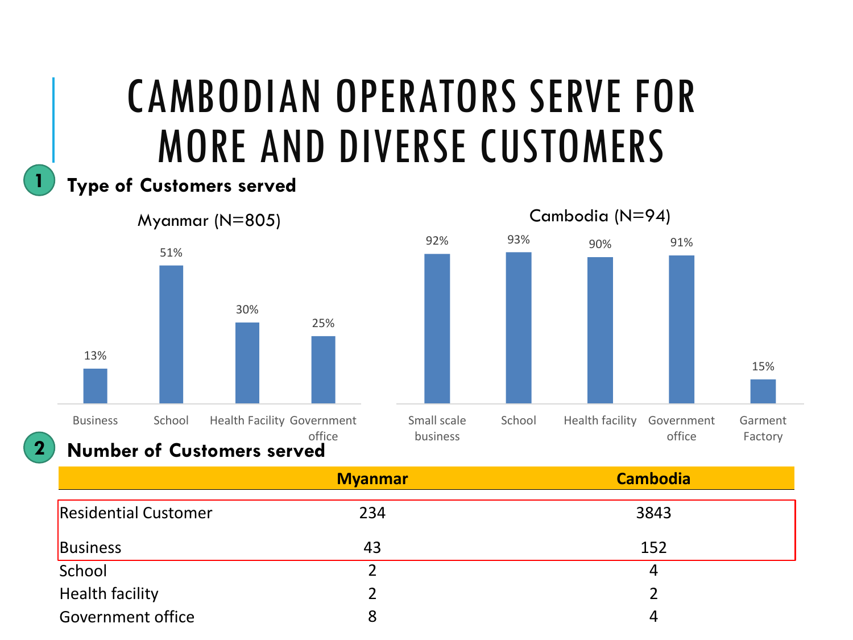# CAMBODIAN OPERATORS SERVE FOR MORE AND DIVERSE CUSTOMERS

#### **Type of Customers served**

**1**

**2**





#### **Number of Customers served**

|                             | <b>Myanmar</b> | <b>Cambodia</b> |
|-----------------------------|----------------|-----------------|
| <b>Residential Customer</b> | 234            | 3843            |
| <b>Business</b>             | 43             | 152             |
| School                      |                | 4               |
| <b>Health facility</b>      |                |                 |
| Government office           | 8              | 4               |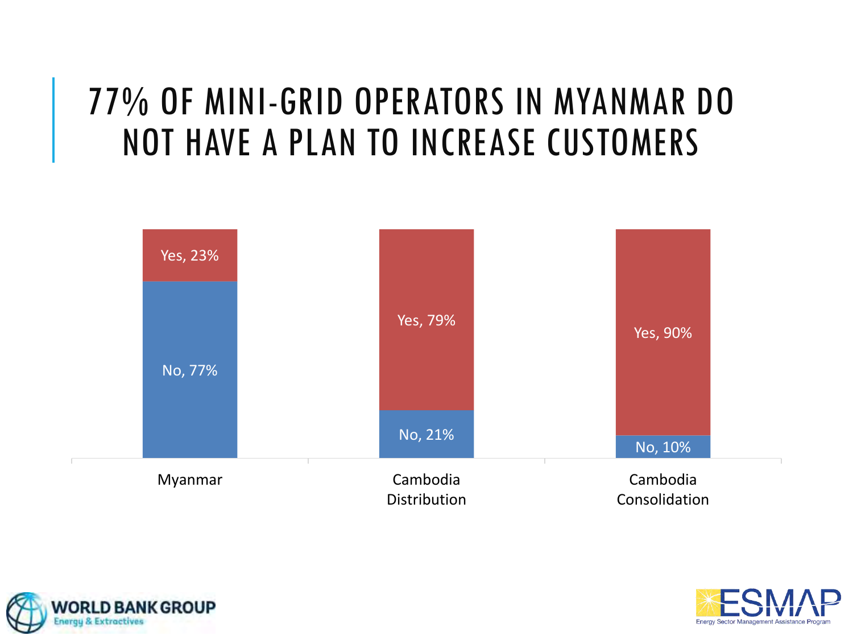## 77% OF MINI-GRID OPERATORS IN MYANMAR DO NOT HAVE A PLAN TO INCREASE CUSTOMERS





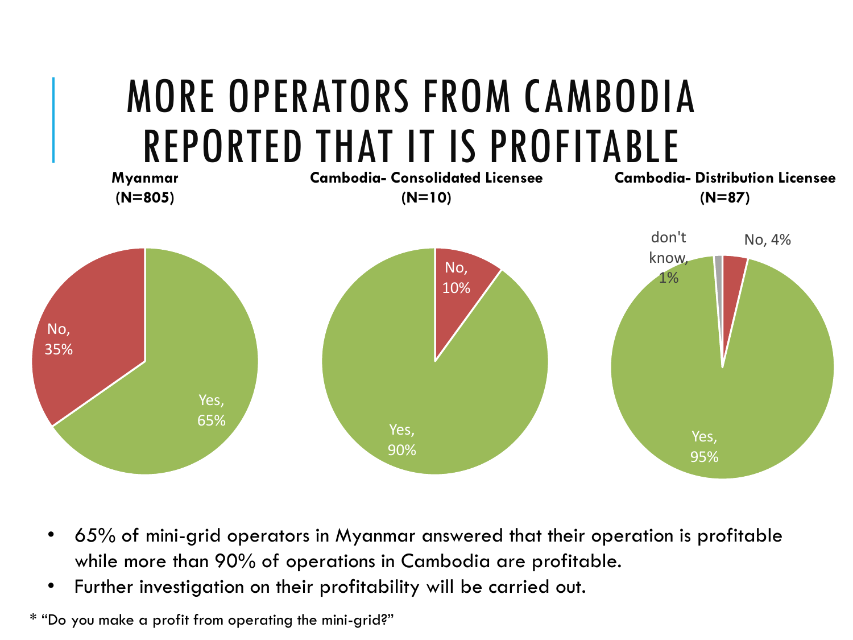

- 65% of mini-grid operators in Myanmar answered that their operation is profitable while more than 90% of operations in Cambodia are profitable.
- Further investigation on their profitability will be carried out.

\* "Do you make a profit from operating the mini-grid?"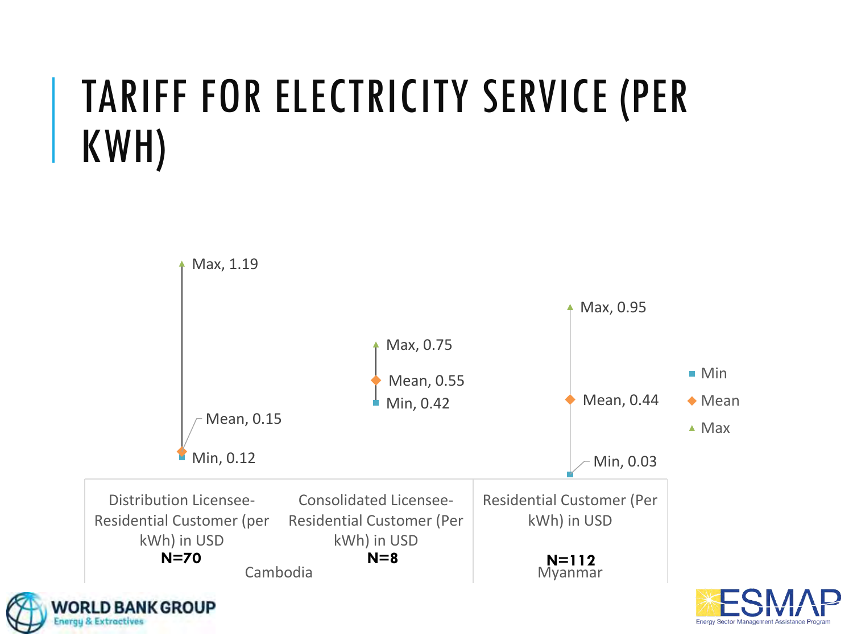# TARIFF FOR ELECTRICITY SERVICE (PER KWH)

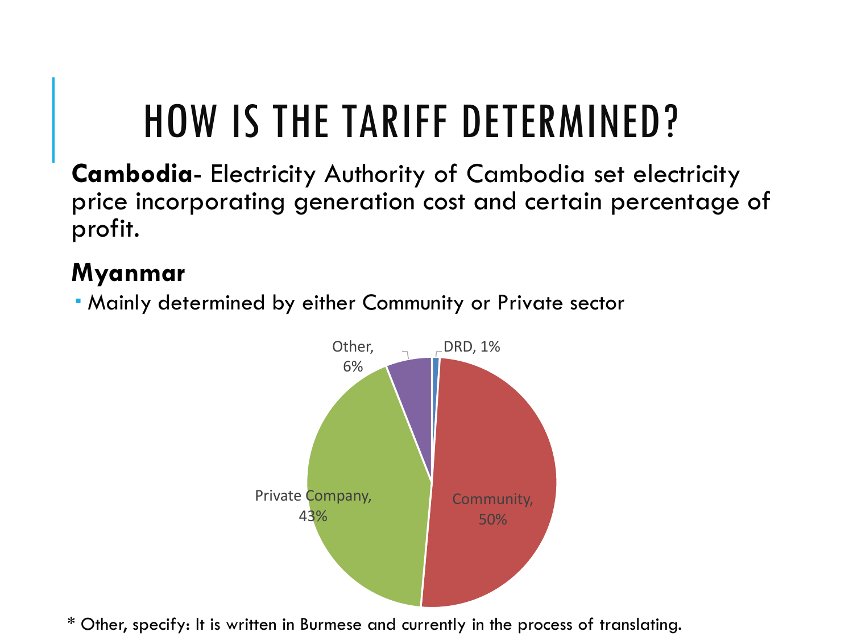# HOW IS THE TARIFF DETERMINED?

**Cambodia**- Electricity Authority of Cambodia set electricity price incorporating generation cost and certain percentage of profit.

### **Myanmar**

Mainly determined by either Community or Private sector



\* Other, specify: It is written in Burmese and currently in the process of translating.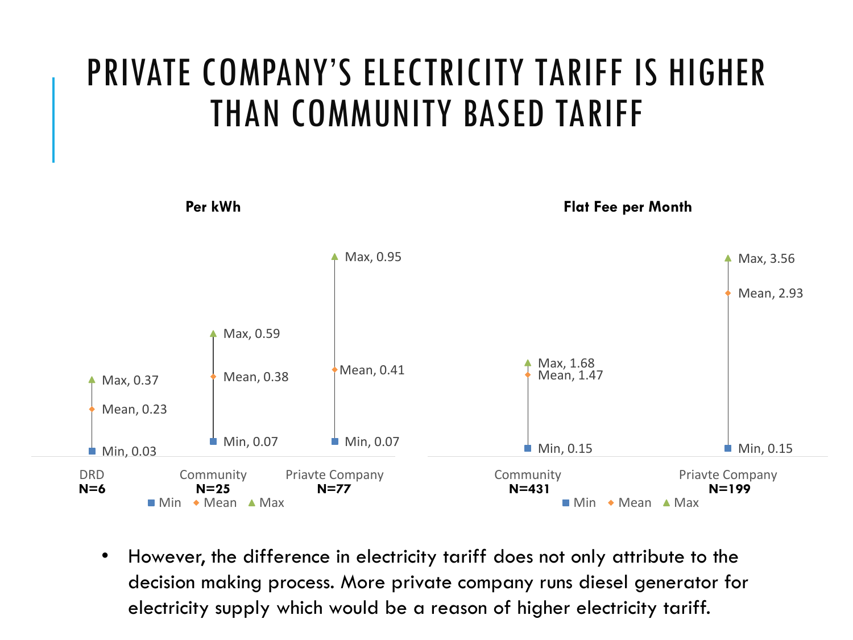## PRIVATE COMPANY'S ELECTRICITY TARIFF IS HIGHER THAN COMMUNITY BASED TARIFF



• However, the difference in electricity tariff does not only attribute to the decision making process. More private company runs diesel generator for electricity supply which would be a reason of higher electricity tariff.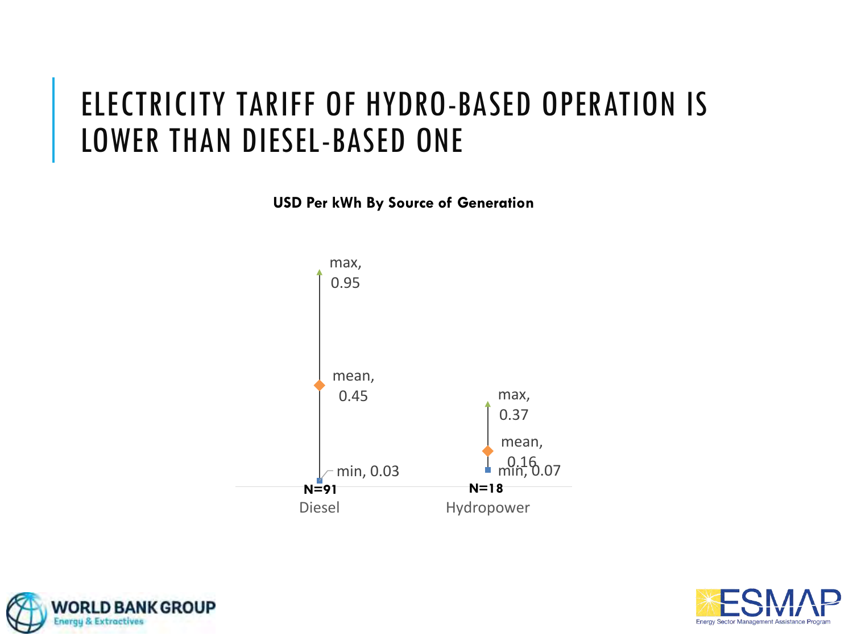### ELECTRICITY TARIFF OF HYDRO-BASED OPERATION IS LOWER THAN DIESEL-BASED ONE

**USD Per kWh By Source of Generation**





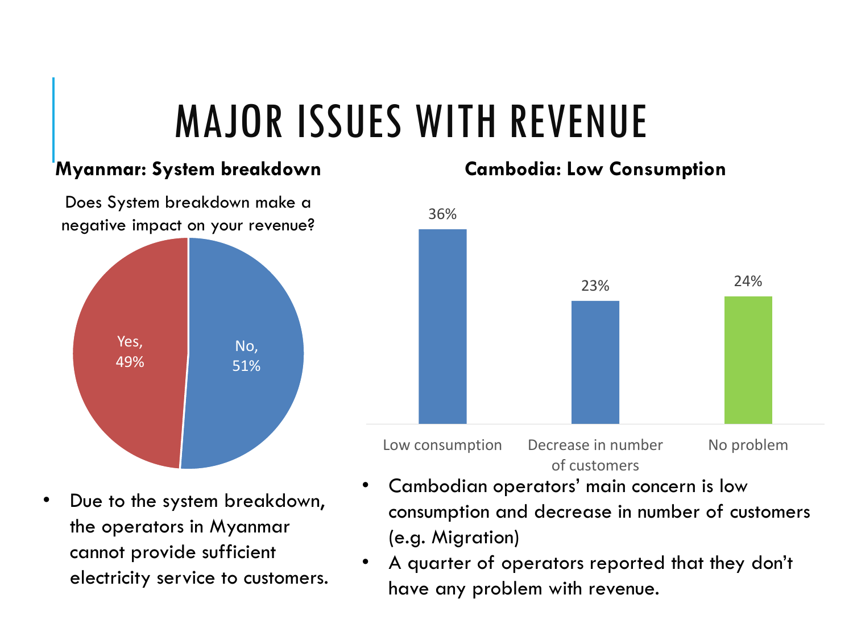# MAJOR ISSUES WITH REVENUE

#### **Myanmar: System breakdown**



Due to the system breakdown, the operators in Myanmar cannot provide sufficient electricity service to customers.

#### **Cambodia: Low Consumption**



- Cambodian operators' main concern is low consumption and decrease in number of customers (e.g. Migration)
- A quarter of operators reported that they don't have any problem with revenue.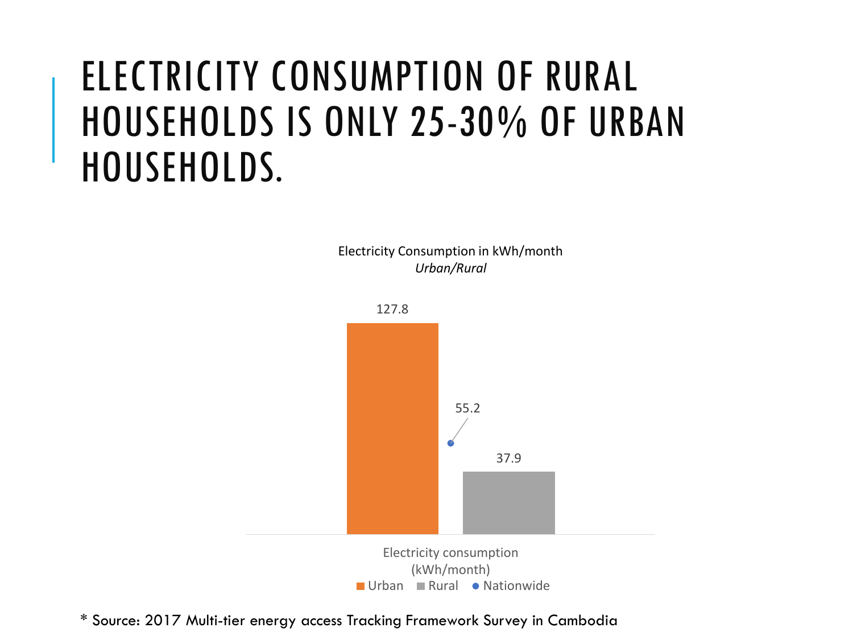## ELECTRICITY CONSUMPTION OF RURAL HOUSEHOLDS IS ONLY 25-30% OF URBAN HOUSEHOLDS.

Electricity Consumption in kWh/month *Urban/Rural*



\* Source: 2017 Multi-tier energy access Tracking Framework Survey in Cambodia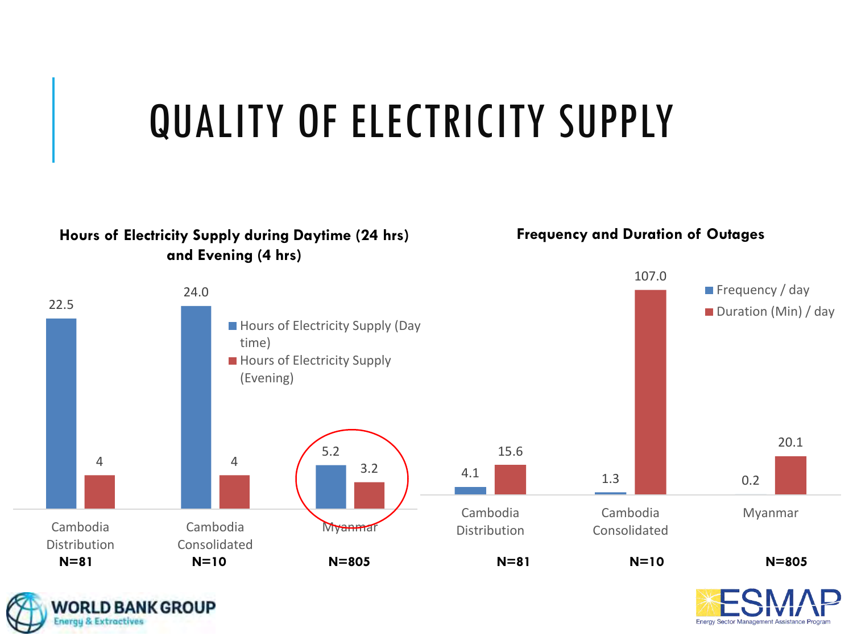

#### **Hours of Electricity Supply during Daytime (24 hrs) and Evening (4 hrs)**

**WORLD BANK GROUP** 

**Energy & Extractives** 

**Frequency and Duration of Outages**



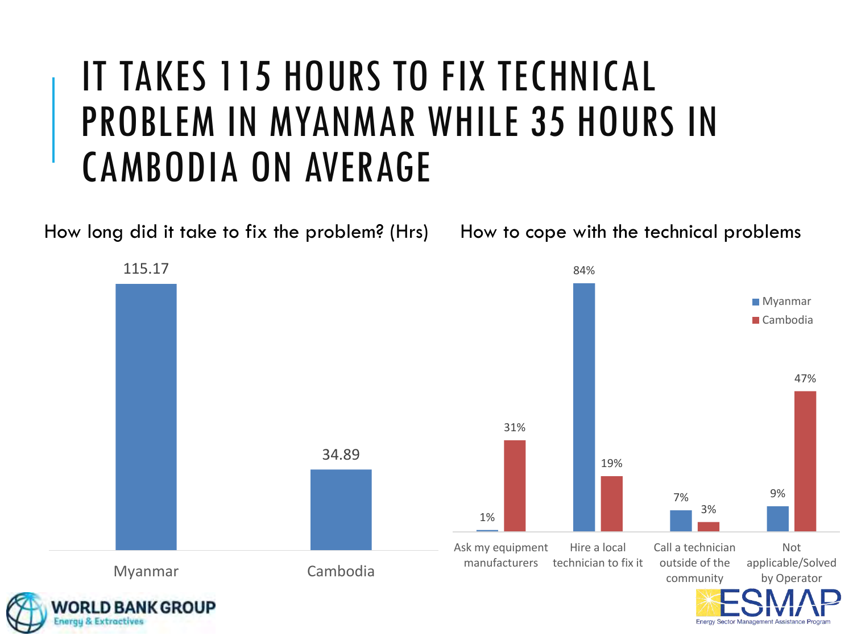## IT TAKES 115 HOURS TO FIX TECHNICAL PROBLEM IN MYANMAR WHILE 35 HOURS IN CAMBODIA ON AVERAGE

How long did it take to fix the problem? (Hrs)

115.17 84% Myanmar ■ Cambodia 47% 31% 34.89 19% 7% 9% 3% 1% Ask my equipment Hire a local Call a technician Not manufacturers technician to fix it outside of the applicable/Solved Myanmar Cambodia community by Operator **BANK GROUP** 

How to cope with the technical problems

**Energy Sector Management Assistance I**